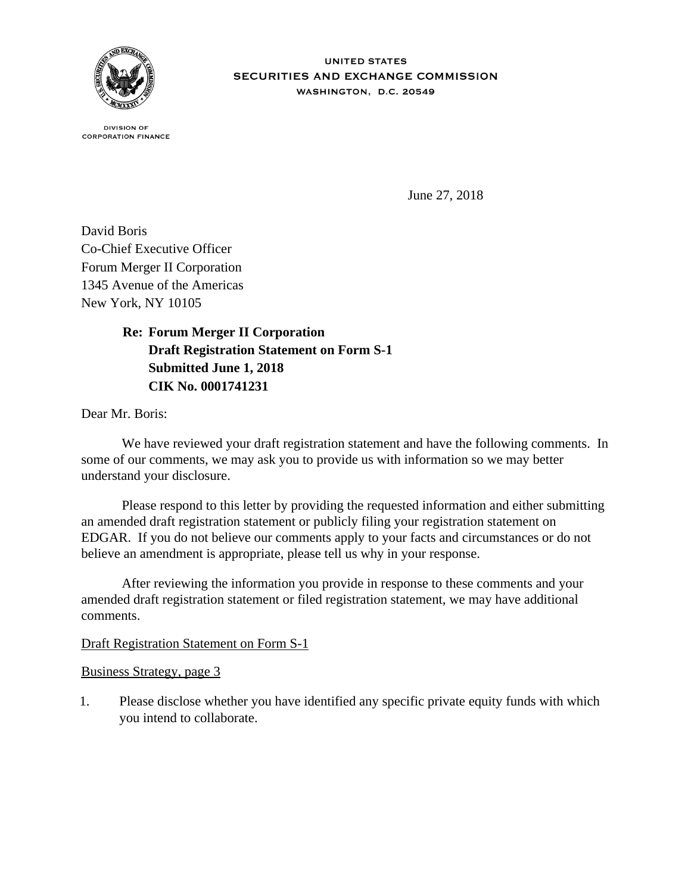

**UNITED STATES** SECURITIES AND EXCHANGE COMMISSION WASHINGTON, D.C. 20549

**DIVISION OF CORPORATION FINANCE** 

June 27, 2018

David Boris Co-Chief Executive Officer Forum Merger II Corporation 1345 Avenue of the Americas New York, NY 10105

> **Re: Forum Merger II Corporation Draft Registration Statement on Form S-1 Submitted June 1, 2018 CIK No. 0001741231**

Dear Mr. Boris:

 We have reviewed your draft registration statement and have the following comments. In some of our comments, we may ask you to provide us with information so we may better understand your disclosure.

 Please respond to this letter by providing the requested information and either submitting an amended draft registration statement or publicly filing your registration statement on EDGAR. If you do not believe our comments apply to your facts and circumstances or do not believe an amendment is appropriate, please tell us why in your response.

 After reviewing the information you provide in response to these comments and your amended draft registration statement or filed registration statement, we may have additional comments.

## Draft Registration Statement on Form S-1

Business Strategy, page 3

1. Please disclose whether you have identified any specific private equity funds with which you intend to collaborate.